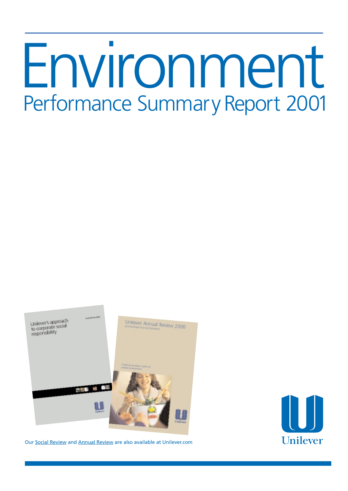# Environment Performance Summary Report 2001



Our [Social Review](http://www.unilever.com/so/so_re.html) and [Annual Review](http://www.unilever.com/fi/ra/ra_2000.html) are also available at Unilever.com

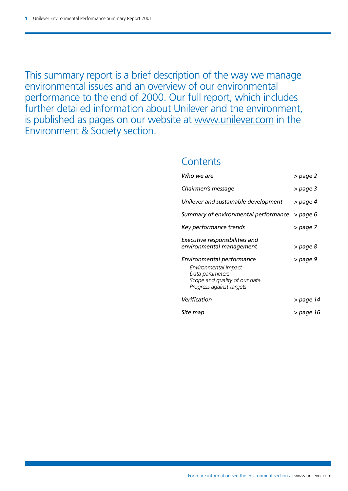This summary report is a brief description of the way we manage environmental issues and an overview of our environmental performance to the end of 2000. Our full report, which includes further detailed information about Unilever and the environment, is published as pages on our website at [www.unilever.com](http://www.unilever.com) in the Environment & Society section.

### **Contents**

| Who we are                                                                                                                        | > page 2  |
|-----------------------------------------------------------------------------------------------------------------------------------|-----------|
| Chairmen's message                                                                                                                | > page 3  |
| Unilever and sustainable development                                                                                              | > page 4  |
| Summary of environmental performance                                                                                              | > page 6  |
| Key performance trends                                                                                                            | > page 7  |
| Executive responsibilities and<br>environmental management                                                                        | > page 8  |
| Environmental performance<br>Environmental impact<br>Data parameters<br>Scope and quality of our data<br>Progress against targets | > page 9  |
| Verification                                                                                                                      | > page 14 |
| Site map                                                                                                                          | > page 16 |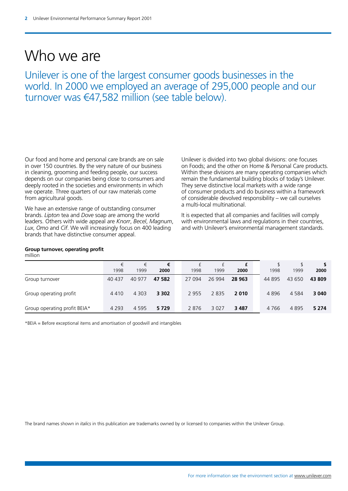### Who we are

Unilever is one of the largest consumer goods businesses in the world. In 2000 we employed an average of 295,000 people and our turnover was  $\epsilon$ 47,582 million (see table below).

Our food and home and personal care brands are on sale in over 150 countries. By the very nature of our business in cleaning, grooming and feeding people, our success depends on our companies being close to consumers and deeply rooted in the societies and environments in which we operate. Three quarters of our raw materials come from agricultural goods.

We have an extensive range of outstanding consumer brands. *Lipton* tea and *Dove* soap are among the world leaders. Others with wide appeal are *Knorr*, *Becel*, *Magnum*, *Lux*, *Omo* and *Cif*. We will increasingly focus on 400 leading brands that have distinctive consumer appeal.

### **Group turnover, operating profit**

million

|                              | €<br>1998 | €<br>1999 | €<br>2000 | 1998    | 1999    | £<br>2000 | 1998   | 1999    | 2000    |
|------------------------------|-----------|-----------|-----------|---------|---------|-----------|--------|---------|---------|
| Group turnover               | 40 437    | 40 977    | 47 582    | 27 094  | 26 994  | 28 963    | 44 895 | 43 650  | 43 809  |
| Group operating profit       | 4410      | 4 3 0 3   | 3 3 0 2   | 2 9 5 5 | 2835    | 2010      | 4896   | 4 5 8 4 | 3 0 4 0 |
| Group operating profit BEIA* | 4 2 9 3   | 4 5 9 5   | 5729      | 2876    | 3 0 2 7 | 3 4 8 7   | 4766   | 4895    | 5 2 7 4 |

\*BEIA = Before exceptional items and amortisation of goodwill and intangibles

The brand names shown in *italics* in this publication are trademarks owned by or licensed to companies within the Unilever Group.

Unilever is divided into two global divisions: one focuses on Foods; and the other on Home & Personal Care products. Within these divisions are many operating companies which remain the fundamental building blocks of today's Unilever. They serve distinctive local markets with a wide range of consumer products and do business within a framework of considerable devolved responsibility – we call ourselves

It is expected that all companies and facilities will comply with environmental laws and regulations in their countries, and with Unilever's environmental management standards.

a multi-local multinational.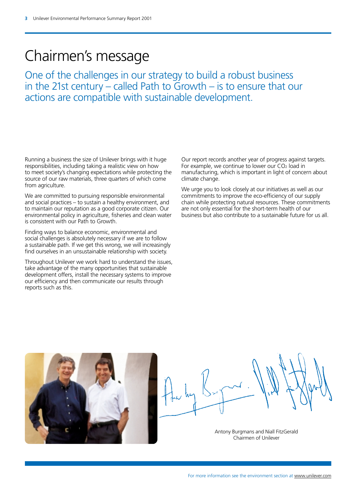### Chairmen's message

One of the challenges in our strategy to build a robust business in the 21st century – called Path to  $G$ rowth – is to ensure that our actions are compatible with sustainable development.

Running a business the size of Unilever brings with it huge responsibilities, including taking a realistic view on how to meet society's changing expectations while protecting the source of our raw materials, three quarters of which come from agriculture.

We are committed to pursuing responsible environmental and social practices – to sustain a healthy environment, and to maintain our reputation as a good corporate citizen. Our environmental policy in agriculture, fisheries and clean water is consistent with our Path to Growth.

Finding ways to balance economic, environmental and social challenges is absolutely necessary if we are to follow a sustainable path. If we get this wrong, we will increasingly find ourselves in an unsustainable relationship with society.

Throughout Unilever we work hard to understand the issues, take advantage of the many opportunities that sustainable development offers, install the necessary systems to improve our efficiency and then communicate our results through reports such as this.

Our report records another year of progress against targets. For example, we continue to lower our CO2 load in manufacturing, which is important in light of concern about climate change.

We urge you to look closely at our initiatives as well as our commitments to improve the eco-efficiency of our supply chain while protecting natural resources. These commitments are not only essential for the short-term health of our business but also contribute to a sustainable future for us all.



Antony Burgmans and Niall FitzGerald Chairmen of Unilever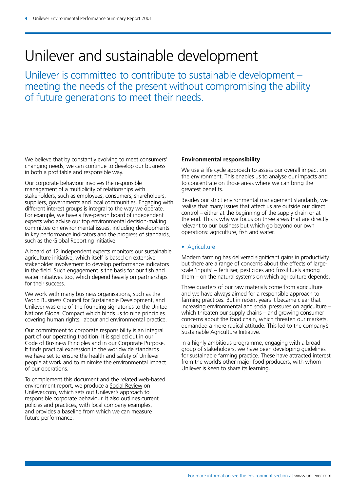### Unilever and sustainable development

Unilever is committed to contribute to sustainable development – meeting the needs of the present without compromising the ability of future generations to meet their needs.

We believe that by constantly evolving to meet consumers' changing needs, we can continue to develop our business in both a profitable and responsible way.

Our corporate behaviour involves the responsible management of a multiplicity of relationships with stakeholders, such as employees, consumers, shareholders, suppliers, governments and local communities. Engaging with different interest groups is integral to the way we operate. For example, we have a five-person board of independent experts who advise our top environmental decision-making committee on environmental issues, including developments in key performance indicators and the progress of standards, such as the Global Reporting Initiative.

A board of 12 independent experts monitors our sustainable agriculture initiative, which itself is based on extensive stakeholder involvement to develop performance indicators in the field. Such engagement is the basis for our fish and water initiatives too, which depend heavily on partnerships for their success.

We work with many business organisations, such as the World Business Council for Sustainable Development, and Unilever was one of the founding signatories to the United Nations Global Compact which binds us to nine principles covering human rights, labour and environmental practice.

Our commitment to corporate responsibility is an integral part of our operating tradition. It is spelled out in our Code of Business Principles and in our Corporate Purpose. It finds practical expression in the worldwide standards we have set to ensure the health and safety of Unilever people at work and to minimise the environmental impact of our operations.

To complement this document and the related web-based environment report, we produce a [Social Review](http://www.unilever.com/so/so_re.html) on Unilever.com, which sets out Unilever's approach to responsible corporate behaviour. It also outlines current policies and practices, with local company examples, and provides a baseline from which we can measure future performance.

### **Environmental responsibility**

We use a life cycle approach to assess our overall impact on the environment. This enables us to analyse our impacts and to concentrate on those areas where we can bring the greatest benefits.

Besides our strict environmental management standards, we realise that many issues that affect us are outside our direct control – either at the beginning of the supply chain or at the end. This is why we focus on three areas that are directly relevant to our business but which go beyond our own operations: agriculture, fish and water.

### • Agriculture

Modern farming has delivered significant gains in productivity, but there are a range of concerns about the effects of largescale 'inputs' – fertiliser, pesticides and fossil fuels among them – on the natural systems on which agriculture depends.

Three quarters of our raw materials come from agriculture and we have always aimed for a responsible approach to farming practices. But in recent years it became clear that increasing environmental and social pressures on agriculture – which threaten our supply chains – and growing consumer concerns about the food chain, which threaten our markets, demanded a more radical attitude. This led to the company's Sustainable Agriculture Initiative.

In a highly ambitious programme, engaging with a broad group of stakeholders, we have been developing guidelines for sustainable farming practice. These have attracted interest from the world's other major food producers, with whom Unilever is keen to share its learning.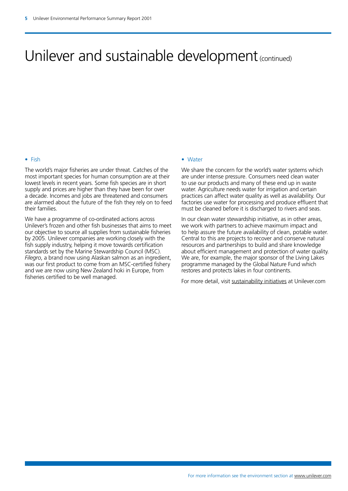### Unilever and sustainable development (continued)

### • Fish

The world's major fisheries are under threat. Catches of the most important species for human consumption are at their lowest levels in recent years. Some fish species are in short supply and prices are higher than they have been for over a decade. Incomes and jobs are threatened and consumers are alarmed about the future of the fish they rely on to feed their families.

We have a programme of co-ordinated actions across Unilever's frozen and other fish businesses that aims to meet our objective to source all supplies from sustainable fisheries by 2005. Unilever companies are working closely with the fish supply industry, helping it move towards certification standards set by the Marine Stewardship Council (MSC). *Filegro*, a brand now using Alaskan salmon as an ingredient, was our first product to come from an MSC-certified fishery and we are now using New Zealand hoki in Europe, from fisheries certified to be well managed.

#### • Water

We share the concern for the world's water systems which are under intense pressure. Consumers need clean water to use our products and many of these end up in waste water. Agriculture needs water for irrigation and certain practices can affect water quality as well as availability. Our factories use water for processing and produce effluent that must be cleaned before it is discharged to rivers and seas.

In our clean water stewardship initiative, as in other areas, we work with partners to achieve maximum impact and to help assure the future availability of clean, potable water. Central to this are projects to recover and conserve natural resources and partnerships to build and share knowledge about efficient management and protection of water quality. We are, for example, the major sponsor of the Living Lakes programme managed by the Global Nature Fund which restores and protects lakes in four continents.

For more detail, visit [sustainability initiatives](http://www.unilever.com/en/si.html) at Unilever.com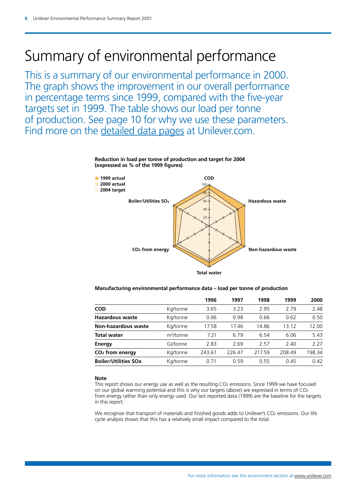### Summary of environmental performance

This is a summary of our environmental performance in 2000. The graph shows the improvement in our overall performance in percentage terms since 1999, compared with the five-year targets set in 1999. The table shows our load per tonne of production. See page 10 for why we use these parameters. Find more on the [detailed data pages](http://www.unilever.com/en/ep/ep_did.html) at Unilever.com.



### **Reduction in load per tonne of production and target for 2004 (expressed as % of the 1999 figures)**

### **Manufacturing environmental performance data – load per tonne of production**

| 2.48   |
|--------|
| 0.50   |
| 12.00  |
| 5.43   |
| 2 2 7  |
| 198.34 |
| 0.42   |
|        |

#### **Note**

This report shows our energy use as well as the resulting CO<sub>2</sub> emissions. Since 1999 we have focused on our global warming potential and this is why our targets (above) are expressed in terms of CO2 from energy rather than only energy used. Our last reported data (1999) are the baseline for the targets in this report.

We recognise that transport of materials and finished goods adds to Unilever's CO2 emissions. Our life cycle analysis shows that this has a relatively small impact compared to the total.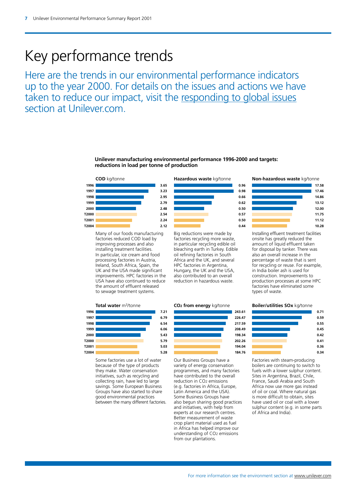### Key performance trends

Here are the trends in our environmental performance indicators up to the year 2000. For details on the issues and actions we have taken to reduce our impact, visit the [responding to global issues](http://www.unilever.com/en/rgi.html)  section at Unilever.com.

#### **Unilever manufacturing environmental performance 1996-2000 and targets: reductions in load per tonne of production**



Many of our foods manufacturing Big reductions were made by Installing effluent treatment facilities factories reduced COD load by factories recycling more waste, onsite has greatly reduced the improving processes and also in particular recycling edible oil amount of liquid effluent taken installing treatment facilities. bleaching earth in Turkey. Edible for disposal by tanker. There was<br>In particular, ice cream and food oil refining factories in South also an overall increase in the In particular, ice cream and food oil refining factories in South processing factories in Austria, and the UK, and several Ireland, South Africa, Spain, the HPC factories in Argentina, France of precycling or reuse. For example, UK and the USA, in India boiler ash is used for improvements. HPC factories in the also contributed to an overall construction. Improvements to<br>USA have also continued to reduce reduction in hazardous waste. The production processes at some HPC USA have also continued to reduce reduction in hazardous waste. production processes at some F<br>the amount of effluent released the amount of effluent released the amount of effluent released factories have eliminated factories have to sewage treatment systems. to sewage treatment systems.





Hungary, the UK and the USA, in India boiler ash is used for



Africa and the UK, and several energy percentage of waste that is sent<br>HPC factories in Argentina, energy for recycling or reuse. For examp

#### **Total water m<sup>3</sup>/tonne <b>CO2 from energy** kg/tonne **Boiler/utilities SOx** kg/tonne



sulphur content (e.g. in some parts of Africa and India).



Some factories use a lot of water Cur Business Groups have a Factories with steam-producing because of the type of products variety of energy conservation boilers are continuing to switch to they make. Water conservation programmes, and many factories fuels with a lower sulphur content.<br>
initiatives, such as recycling and have contributed to the overall Sites in Argentina, Brazil, Chile, initiatives, such as recycling and have contributed to the overall Sites in Argentina, Brazil, Chile, collecting rain, have led to large reduction in CO2 emissions France, Saudi Arabia and South collecting rain, have led to large reduction in CO2 emissions France, Saudi Arabia and South causiness (e.g. factories in Africa. Europe. Africa now use more gas instead savings. Some European Business Groups have also started to share Latin America and the USA). The of oil or coal. Where natural gas good environmental practices sume Business Groups have is more difficult to obtain, sites<br>between the many different factories. also begun sharing good practices have used oil or coal with a lower



between the many different factories. also begun sharing good practices<br>and initiatives, with help from experts at our research centres. Better measurement of waste crop plant material used as fuel in Africa has helped improve our understanding of CO2 emissions from our plantations.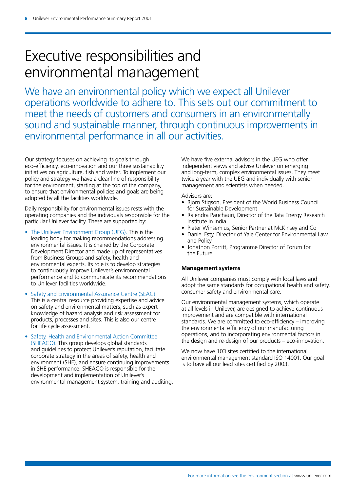## Executive responsibilities and environmental management

We have an environmental policy which we expect all Unilever operations worldwide to adhere to. This sets out our commitment to meet the needs of customers and consumers in an environmentally sound and sustainable manner, through continuous improvements in environmental performance in all our activities.

Our strategy focuses on achieving its goals through eco-efficiency, eco-innovation and our three sustainability initiatives on agriculture, fish and water. To implement our policy and strategy we have a clear line of responsibility for the environment, starting at the top of the company, to ensure that environmental policies and goals are being adopted by all the facilities worldwide.

Daily responsibility for environmental issues rests with the operating companies and the individuals responsible for the particular Unilever facility. These are supported by:

- The Unilever Environment Group (UEG). This is the leading body for making recommendations addressing environmental issues. It is chaired by the Corporate Development Director and made up of representatives from Business Groups and safety, health and environmental experts. Its role is to develop strategies to continuously improve Unilever's environmental performance and to communicate its recommendations to Unilever facilities worldwide.
- Safety and Environmental Assurance Centre (SEAC). This is a central resource providing expertise and advice on safety and environmental matters, such as expert knowledge of hazard analysis and risk assessment for products, processes and sites. This is also our centre for life cycle assessment.
- Safety, Health and Environmental Action Committee (SHEACO). This group develops global standards and guidelines to protect Unilever's reputation, facilitate corporate strategy in the areas of safety, health and environment (SHE), and ensure continuing improvements in SHE performance. SHEACO is responsible for the development and implementation of Unilever's environmental management system, training and auditing.

We have five external advisors in the UEG who offer independent views and advise Unilever on emerging and long-term, complex environmental issues. They meet twice a year with the UEG and individually with senior management and scientists when needed.

Advisors are:

- Björn Stigson, President of the World Business Council for Sustainable Development
- Rajendra Pauchauri, Director of the Tata Energy Research Institute in India
- Pieter Winsemius, Senior Partner at McKinsey and Co
- Daniel Esty, Director of Yale Center for Environmental Law and Policy
- Jonathon Porritt, Programme Director of Forum for the Future

### **Management systems**

All Unilever companies must comply with local laws and adopt the same standards for occupational health and safety, consumer safety and environmental care.

Our environmental management systems, which operate at all levels in Unilever, are designed to achieve continuous improvement and are compatible with international standards. We are committed to eco-efficiency – improving the environmental efficiency of our manufacturing operations, and to incorporating environmental factors in the design and re-design of our products – eco-innovation.

We now have 103 sites certified to the international environmental management standard ISO 14001. Our goal is to have all our lead sites certified by 2003.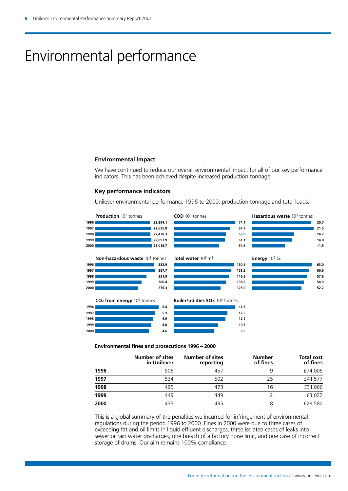# Environmental performance

#### **Environmental impact**

We have continued to reduce our overall environmental impact for all of our key performance indicators. This has been achieved despite increased production tonnage.

### **Key performance indicators**

Unilever environmental performance 1996 to 2000: production tonnage and total loads.



#### **Environmental fines and prosecutions 1996 – 2000**

|      | <b>Number of sites</b><br>in Unilever | <b>Number of sites</b><br>reporting | <b>Number</b><br>of fines | <b>Total cost</b><br>of fines |
|------|---------------------------------------|-------------------------------------|---------------------------|-------------------------------|
| 1996 | 506                                   | 457                                 | 9                         | £74,005                       |
| 1997 | 534                                   | 502                                 | 25                        | £41,577                       |
| 1998 | 495                                   | 473                                 | 16                        | £31,066                       |
| 1999 | 449                                   | 449                                 |                           | £3,022                        |
| 2000 | 435                                   | 435                                 | 8                         | £28,580                       |

This is a global summary of the penalties we incurred for infringement of environmental regulations during the period 1996 to 2000. Fines in 2000 were due to three cases of exceeding fat and oil limits in liquid effluent discharges, three isolated cases of leaks into sewer or rain water discharges, one breach of a factory noise limit, and one case of incorrect storage of drums. Our aim remains 100% compliance.

**20.7 21.5 14.7 14.0 11.5** 

**63.0 60.6 57.6 54.9 52.2**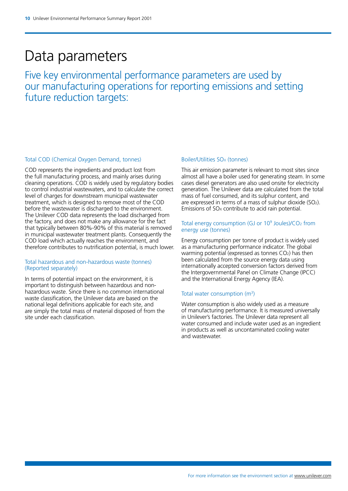### Data parameters

Five key environmental performance parameters are used by our manufacturing operations for reporting emissions and setting future reduction targets:

### Total COD (Chemical Oxygen Demand, tonnes)

COD represents the ingredients and product lost from the full manufacturing process, and mainly arises during cleaning operations. COD is widely used by regulatory bodies to control industrial wastewaters, and to calculate the correct level of charges for downstream municipal wastewater treatment, which is designed to remove most of the COD before the wastewater is discharged to the environment. The Unilever COD data represents the load discharged from the factory, and does not make any allowance for the fact that typically between 80%-90% of this material is removed in municipal wastewater treatment plants. Consequently the COD load which actually reaches the environment, and therefore contributes to nutrification potential, is much lower.

### Total hazardous and non-hazardous waste (tonnes) (Reported separately)

In terms of potential impact on the environment, it is important to distinguish between hazardous and nonhazardous waste. Since there is no common international waste classification, the Unilever data are based on the national legal definitions applicable for each site, and are simply the total mass of material disposed of from the site under each classification.

#### Boiler/Utilities SO<sub>x</sub> (tonnes)

This air emission parameter is relevant to most sites since almost all have a boiler used for generating steam. In some cases diesel generators are also used onsite for electricity generation. The Unilever data are calculated from the total mass of fuel consumed, and its sulphur content, and are expressed in terms of a mass of sulphur dioxide (SO2). Emissions of SO<sub>x</sub> contribute to acid rain potential.

### Total energy consumption (GJ or  $10^9$  Joules)/CO<sub>2</sub> from energy use (tonnes)

Energy consumption per tonne of product is widely used as a manufacturing performance indicator. The global warming potential (expressed as tonnes  $CO<sub>2</sub>$ ) has then been calculated from the source energy data using internationally accepted conversion factors derived from the Intergovernmental Panel on Climate Change (IPCC) and the International Energy Agency (IEA).

### Total water consumption (m3)

Water consumption is also widely used as a measure of manufacturing performance. It is measured universally in Unilever's factories. The Unilever data represent all water consumed and include water used as an ingredient in products as well as uncontaminated cooling water and wastewater.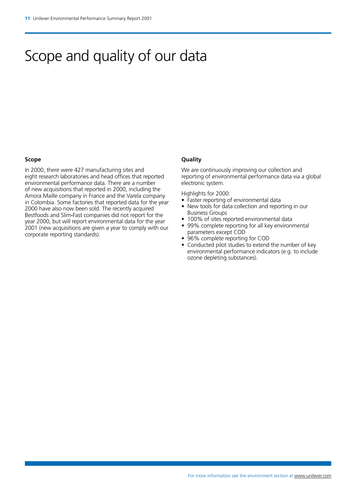### Scope and quality of our data

### **Scope**

In 2000, there were 427 manufacturing sites and eight research laboratories and head offices that reported environmental performance data. There are a number of new acquisitions that reported in 2000, including the Amora Maille company in France and the Varela company in Colombia. Some factories that reported data for the year 2000 have also now been sold. The recently acquired Bestfoods and Slim**·**Fast companies did not report for the year 2000, but will report environmental data for the year 2001 (new acquisitions are given a year to comply with our corporate reporting standards).

### **Quality**

We are continuously improving our collection and reporting of environmental performance data via a global electronic system.

Highlights for 2000:

- Faster reporting of environmental data
- New tools for data collection and reporting in our Business Groups
- 100% of sites reported environmental data
- 99% complete reporting for all key environmental parameters except COD
- 96% complete reporting for COD
- Conducted pilot studies to extend the number of key environmental performance indicators (e.g. to include ozone depleting substances).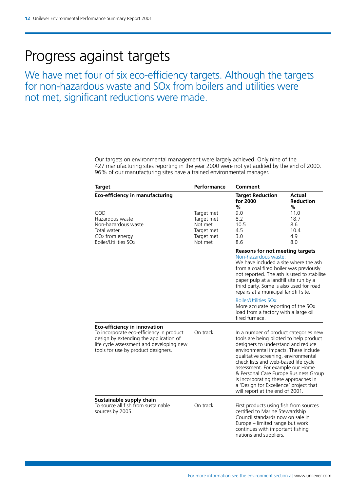### Progress against targets

We have met four of six eco-efficiency targets. Although the targets for non-hazardous waste and SOx from boilers and utilities were not met, significant reductions were made.

> Our targets on environmental management were largely achieved. Only nine of the 427 manufacturing sites reporting in the year 2000 were not yet audited by the end of 2000. 96% of our manufacturing sites have a trained environmental manager.

| <b>Target</b>                                                                                                                                                                                                | Performance                                       | Comment                                                                                                                                                                                                                                                                                                                                                                                                                                          |                                                                |
|--------------------------------------------------------------------------------------------------------------------------------------------------------------------------------------------------------------|---------------------------------------------------|--------------------------------------------------------------------------------------------------------------------------------------------------------------------------------------------------------------------------------------------------------------------------------------------------------------------------------------------------------------------------------------------------------------------------------------------------|----------------------------------------------------------------|
| <b>Eco-efficiency in manufacturing</b><br>COD<br>Hazardous waste<br>Non-hazardous waste<br>Total water                                                                                                       | Target met<br>Target met<br>Not met<br>Target met | <b>Target Reduction</b><br>for 2000<br>%<br>9.0<br>8.2<br>10.5<br>4.5                                                                                                                                                                                                                                                                                                                                                                            | Actual<br><b>Reduction</b><br>%<br>11.0<br>18.7<br>8.6<br>10.4 |
| CO <sub>2</sub> from energy<br>Boiler/Utilities SO <sub>x</sub>                                                                                                                                              | Target met<br>Not met                             | 3.0<br>8.6                                                                                                                                                                                                                                                                                                                                                                                                                                       | 4.9<br>8.0                                                     |
|                                                                                                                                                                                                              |                                                   | <b>Reasons for not meeting targets</b><br>Non-hazardous waste:<br>We have included a site where the ash<br>from a coal fired boiler was previously<br>not reported. The ash is used to stabilise<br>paper pulp at a landfill site run by a<br>third party. Some is also used for road<br>repairs at a municipal landfill site.                                                                                                                   |                                                                |
|                                                                                                                                                                                                              |                                                   | <b>Boiler/Utilities SOx:</b><br>More accurate reporting of the SOx<br>load from a factory with a large oil<br>fired furnace.                                                                                                                                                                                                                                                                                                                     |                                                                |
| <b>Eco-efficiency in innovation</b><br>To incorporate eco-efficiency in product<br>design by extending the application of<br>life cycle assessment and developing new<br>tools for use by product designers. | On track                                          | In a number of product categories new<br>tools are being piloted to help product<br>designers to understand and reduce<br>environmental impacts. These include<br>qualitative screening, environmental<br>check lists and web-based life cycle<br>assessment. For example our Home<br>& Personal Care Europe Business Group<br>is incorporating these approaches in<br>a 'Design for Excellence' project that<br>will report at the end of 2001. |                                                                |
| Sustainable supply chain<br>To source all fish from sustainable<br>sources by 2005.                                                                                                                          | On track                                          | First products using fish from sources<br>certified to Marine Stewardship<br>Council standards now on sale in<br>Europe - limited range but work<br>continues with important fishing<br>nations and suppliers.                                                                                                                                                                                                                                   |                                                                |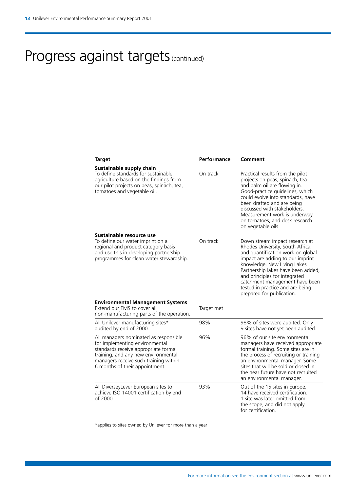# Progress against targets (continued)

| Target                                                                                                                                                                                                                            | Performance | Comment                                                                                                                                                                                                                                                                                                                                              |
|-----------------------------------------------------------------------------------------------------------------------------------------------------------------------------------------------------------------------------------|-------------|------------------------------------------------------------------------------------------------------------------------------------------------------------------------------------------------------------------------------------------------------------------------------------------------------------------------------------------------------|
| Sustainable supply chain<br>To define standards for sustainable<br>agriculture based on the findings from<br>our pilot projects on peas, spinach, tea,<br>tomatoes and vegetable oil.                                             | On track    | Practical results from the pilot<br>projects on peas, spinach, tea<br>and palm oil are flowing in.<br>Good-practice guidelines, which<br>could evolve into standards, have<br>been drafted and are being<br>discussed with stakeholders.<br>Measurement work is underway<br>on tomatoes, and desk research<br>on vegetable oils.                     |
| Sustainable resource use<br>To define our water imprint on a<br>regional and product category basis<br>and use this in developing partnership<br>programmes for clean water stewardship.                                          | On track    | Down stream impact research at<br>Rhodes University, South Africa,<br>and quantification work on global<br>impact are adding to our imprint<br>knowledge. New Living Lakes<br>Partnership lakes have been added,<br>and principles for integrated<br>catchment management have been<br>tested in practice and are being<br>prepared for publication. |
| <b>Environmental Management Systems</b><br>Extend our EMS to cover all<br>non-manufacturing parts of the operation.                                                                                                               | Target met  |                                                                                                                                                                                                                                                                                                                                                      |
| All Unilever manufacturing sites*<br>audited by end of 2000.                                                                                                                                                                      | 98%         | 98% of sites were audited. Only<br>9 sites have not yet been audited.                                                                                                                                                                                                                                                                                |
| All managers nominated as responsible<br>for implementing environmental<br>standards receive appropriate formal<br>training, and any new environmental<br>managers receive such training within<br>6 months of their appointment. | 96%         | 96% of our site environmental<br>managers have received appropriate<br>formal training. Some sites are in<br>the process of recruiting or training<br>an environmental manager. Some<br>sites that will be sold or closed in<br>the near future have not recruited<br>an environmental manager.                                                      |
| All DiverseyLever European sites to<br>achieve ISO 14001 certification by end<br>of 2000.                                                                                                                                         | 93%         | Out of the 15 sites in Europe,<br>14 have received certification.<br>1 site was later omitted from<br>the scope, and did not apply<br>for certification.                                                                                                                                                                                             |
|                                                                                                                                                                                                                                   |             |                                                                                                                                                                                                                                                                                                                                                      |

\*applies to sites owned by Unilever for more than a year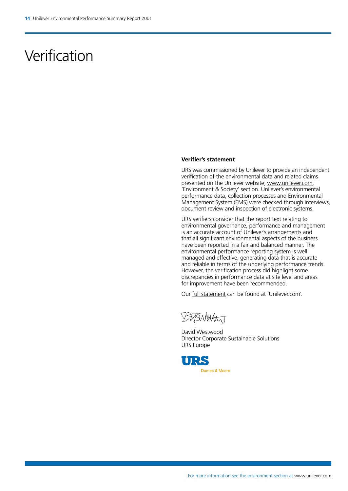### Verification

#### **Verifier's statement**

URS was commissioned by Unilever to provide an independent verification of the environmental data and related claims presented on the Unilever website, [www.unilever.com,](http://www.unilever.com) 'Environment & Society' section. Unilever's environmental performance data, collection processes and Environmental Management System (EMS) were checked through interviews, document review and inspection of electronic systems.

URS verifiers consider that the report text relating to environmental governance, performance and management is an accurate account of Unilever's arrangements and that all significant environmental aspects of the business have been reported in a fair and balanced manner. The environmental performance reporting system is well managed and effective, generating data that is accurate and reliable in terms of the underlying performance trends. However, the verification process did highlight some discrepancies in performance data at site level and areas for improvement have been recommended.

Our [full statement](http://www.unilever.com/en/ep/ep_vs.html) can be found at 'Unilever.com'.

DIBNerty

David Westwood Director Corporate Sustainable Solutions URS Europe

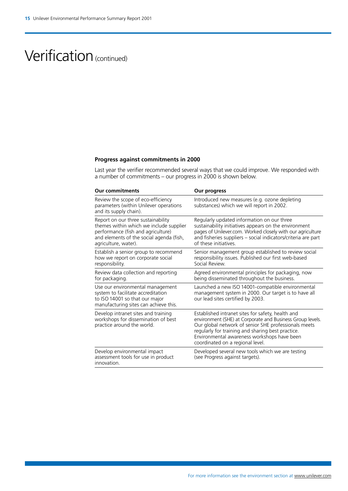### Verification (continued)

### **Progress against commitments in 2000**

Last year the verifier recommended several ways that we could improve. We responded with a number of commitments – our progress in 2000 is shown below.

| <b>Our commitments</b>                                                                                                                                                                  | Our progress                                                                                                                                                                                                                                                                                                   |
|-----------------------------------------------------------------------------------------------------------------------------------------------------------------------------------------|----------------------------------------------------------------------------------------------------------------------------------------------------------------------------------------------------------------------------------------------------------------------------------------------------------------|
| Review the scope of eco-efficiency<br>parameters (within Unilever operations<br>and its supply chain).                                                                                  | Introduced new measures (e.g. ozone depleting<br>substances) which we will report in 2002.                                                                                                                                                                                                                     |
| Report on our three sustainability<br>themes within which we include supplier<br>performance (fish and agriculture)<br>and elements of the social agenda (fish,<br>agriculture, water). | Regularly updated information on our three<br>sustainability initiatives appears on the environment<br>pages of Unilever.com. Worked closely with our agriculture<br>and fisheries suppliers - social indicators/criteria are part<br>of these initiatives.                                                    |
| Establish a senior group to recommend<br>how we report on corporate social<br>responsibility.                                                                                           | Senior management group established to review social<br>responsibility issues. Published our first web-based<br>Social Review.                                                                                                                                                                                 |
| Review data collection and reporting<br>for packaging.                                                                                                                                  | Agreed environmental principles for packaging, now<br>being disseminated throughout the business.                                                                                                                                                                                                              |
| Use our environmental management<br>system to facilitate accreditation<br>to ISO 14001 so that our major<br>manufacturing sites can achieve this.                                       | Launched a new ISO 14001-compatible environmental<br>management system in 2000. Our target is to have all<br>our lead sites certified by 2003.                                                                                                                                                                 |
| Develop intranet sites and training<br>workshops for dissemination of best<br>practice around the world.                                                                                | Established intranet sites for safety, health and<br>environment (SHE) at Corporate and Business Group levels.<br>Our global network of senior SHE professionals meets<br>regularly for training and sharing best practice.<br>Environmental awareness workshops have been<br>coordinated on a regional level. |
| Develop environmental impact<br>assessment tools for use in product<br>innovation.                                                                                                      | Developed several new tools which we are testing<br>(see Progress against targets).                                                                                                                                                                                                                            |